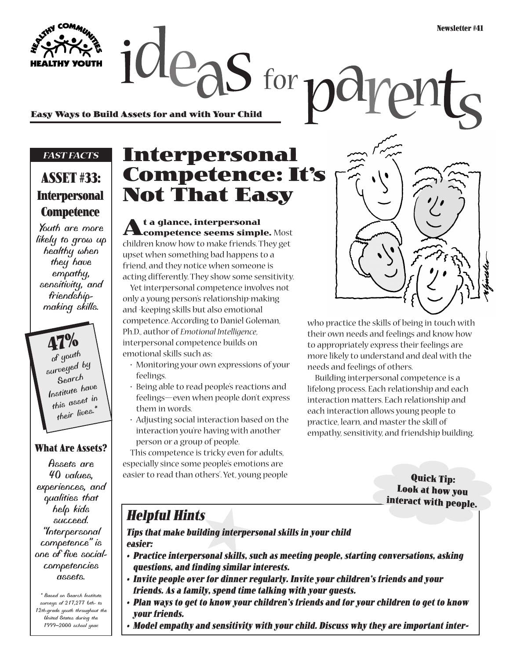**Easy Ways to Build Assets for and with Your Child**

#### *FAST FACTS*

### **ASSET #33: Interpersonal Competence**

*Youth are more likely to grow up healthy when they have empathy, sensitivity, and friendshipmaking skills.*

> **47%** *of youth surveyed by Search Institute have this asset in their lives.\**

#### **What Are Assets?**

*Assets are 40 values, experiences, and qualities that help kids succeed. "Interpersonal competence" is one of five socialcompetencies assets.*

*\* Based on Search Institute surveys of 217,277 6th- to 12th-grade youth throughout the United States during the 1999–2000 school year.*

## **Interpersonal Competence: It's Not That Easy**

 $2e$  as for  $n\partial$ 

**At a glance, interpersonal competence seems simple.** Most children know how to make friends. They get upset when something bad happens to a friend, and they notice when someone is acting differently. They show some sensitivity.

Yet interpersonal competence involves not only a young person's relationship-making and -keeping skills but also emotional competence. According to Daniel Goleman, Ph.D., author of *Emotional Intelligence*, interpersonal competence builds on emotional skills such as:

- Monitoring your own expressions of your feelings.
- Being able to read people's reactions and feelings—even when people don't express them in words.
- Adjusting social interaction based on the interaction you're having with another person or a group of people.

This competence is tricky even for adults, especially since some people's emotions are easier to read than others'. Yet, young people



who practice the skills of being in touch with their own needs and feelings and know how to appropriately express their feelings are more likely to understand and deal with the needs and feelings of others.

Building interpersonal competence is a lifelong process. Each relationship and each interaction matters. Each relationship and each interaction allows young people to practice, learn, and master the skill of empathy, sensitivity, and friendship building.

> **Quick Tip: Look at how you interact with people.**

### **Helpful Hints**

**Tips that make building interpersonal skills in your child easier:**

- **Practice interpersonal skills, such as meeting people, starting conversations, asking questions, and finding similar interests.**
- **Invite people over for dinner regularly. Invite your children's friends and your friends. As a family, spend time talking with your guests.**
- **Plan ways to get to know your children's friends and for your children to get to know your friends.**
- **Model empathy and sensitivity with your child. Discuss why they are important inter-**